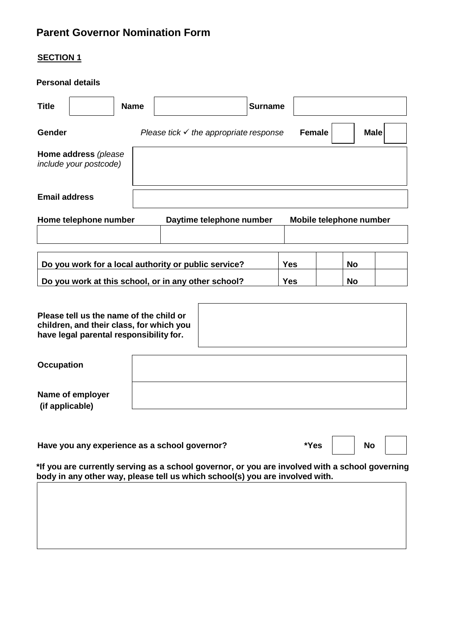# **Parent Governor Nomination Form**

# **SECTION 1**

## **Personal details**

| <b>Title</b>                                                                                                                   |                                                | <b>Name</b> |                                                      | <b>Surname</b> |                         |             |
|--------------------------------------------------------------------------------------------------------------------------------|------------------------------------------------|-------------|------------------------------------------------------|----------------|-------------------------|-------------|
| Gender                                                                                                                         |                                                |             | Please tick $\checkmark$ the appropriate response    | <b>Female</b>  |                         | <b>Male</b> |
|                                                                                                                                | Home address (please<br>include your postcode) |             |                                                      |                |                         |             |
| <b>Email address</b>                                                                                                           |                                                |             |                                                      |                |                         |             |
|                                                                                                                                | Home telephone number                          |             | Daytime telephone number                             |                | Mobile telephone number |             |
|                                                                                                                                |                                                |             |                                                      |                |                         |             |
|                                                                                                                                |                                                |             | Do you work for a local authority or public service? | <b>Yes</b>     | <b>No</b>               |             |
| Do you work at this school, or in any other school?                                                                            |                                                |             |                                                      | <b>Yes</b>     | <b>No</b>               |             |
|                                                                                                                                |                                                |             |                                                      |                |                         |             |
| Please tell us the name of the child or<br>children, and their class, for which you<br>have legal parental responsibility for. |                                                |             |                                                      |                |                         |             |
| <b>Occupation</b>                                                                                                              |                                                |             |                                                      |                |                         |             |
| (if applicable)                                                                                                                | Name of employer                               |             |                                                      |                |                         |             |
| Have you any experience as a school governor?<br>*Yes                                                                          |                                                |             |                                                      | <b>No</b>      |                         |             |

**\*If you are currently serving as a school governor, or you are involved with a school governing body in any other way, please tell us which school(s) you are involved with.**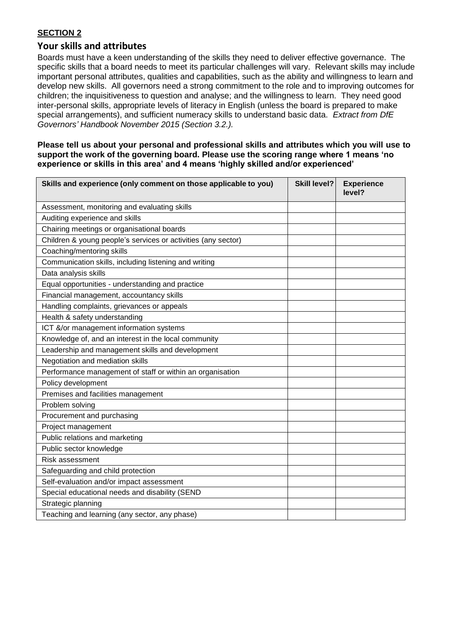## **SECTION 2**

## **Your skills and attributes**

Boards must have a keen understanding of the skills they need to deliver effective governance. The specific skills that a board needs to meet its particular challenges will vary. Relevant skills may include important personal attributes, qualities and capabilities, such as the ability and willingness to learn and develop new skills. All governors need a strong commitment to the role and to improving outcomes for children; the inquisitiveness to question and analyse; and the willingness to learn. They need good inter-personal skills, appropriate levels of literacy in English (unless the board is prepared to make special arrangements), and sufficient numeracy skills to understand basic data. *Extract from DfE Governors' Handbook November 2015 (Section 3.2.).*

**Please tell us about your personal and professional skills and attributes which you will use to support the work of the governing board. Please use the scoring range where 1 means 'no experience or skills in this area' and 4 means 'highly skilled and/or experienced'**

| Skills and experience (only comment on those applicable to you) | <b>Skill level?</b> | <b>Experience</b><br>level? |
|-----------------------------------------------------------------|---------------------|-----------------------------|
| Assessment, monitoring and evaluating skills                    |                     |                             |
| Auditing experience and skills                                  |                     |                             |
| Chairing meetings or organisational boards                      |                     |                             |
| Children & young people's services or activities (any sector)   |                     |                             |
| Coaching/mentoring skills                                       |                     |                             |
| Communication skills, including listening and writing           |                     |                             |
| Data analysis skills                                            |                     |                             |
| Equal opportunities - understanding and practice                |                     |                             |
| Financial management, accountancy skills                        |                     |                             |
| Handling complaints, grievances or appeals                      |                     |                             |
| Health & safety understanding                                   |                     |                             |
| ICT &/or management information systems                         |                     |                             |
| Knowledge of, and an interest in the local community            |                     |                             |
| Leadership and management skills and development                |                     |                             |
| Negotiation and mediation skills                                |                     |                             |
| Performance management of staff or within an organisation       |                     |                             |
| Policy development                                              |                     |                             |
| Premises and facilities management                              |                     |                             |
| Problem solving                                                 |                     |                             |
| Procurement and purchasing                                      |                     |                             |
| Project management                                              |                     |                             |
| Public relations and marketing                                  |                     |                             |
| Public sector knowledge                                         |                     |                             |
| Risk assessment                                                 |                     |                             |
| Safeguarding and child protection                               |                     |                             |
| Self-evaluation and/or impact assessment                        |                     |                             |
| Special educational needs and disability (SEND                  |                     |                             |
| Strategic planning                                              |                     |                             |
| Teaching and learning (any sector, any phase)                   |                     |                             |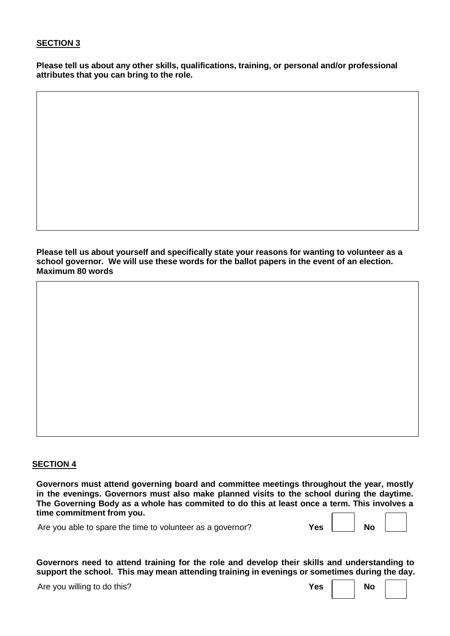## **SECTION 3**

**Please tell us about any other skills, qualifications, training, or personal and/or professional attributes that you can bring to the role.**

**Please tell us about yourself and specifically state your reasons for wanting to volunteer as a school governor. We will use these words for the ballot papers in the event of an election. Maximum 80 words**

#### **SECTION 4**

**Governors must attend governing board and committee meetings throughout the year, mostly in the evenings. Governors must also make planned visits to the school during the daytime. The Governing Body as a whole has commited to do this at least once a term. This involves a time commitment from you.**

Are you able to spare the time to volunteer as a governor? **Yes Yes No** 

**Governors need to attend training for the role and develop their skills and understanding to support the school. This may mean attending training in evenings or sometimes during the day.**

Are you willing to do this?

| res | No |  |
|-----|----|--|
|     |    |  |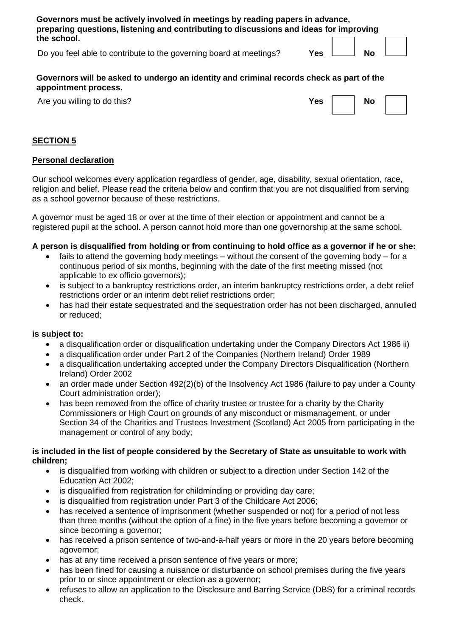| Governors must be actively involved in meetings by reading papers in advance,<br>preparing questions, listening and contributing to discussions and ideas for improving |            |           |  |
|-------------------------------------------------------------------------------------------------------------------------------------------------------------------------|------------|-----------|--|
| the school.                                                                                                                                                             |            |           |  |
| Do you feel able to contribute to the governing board at meetings?                                                                                                      | <b>Yes</b> | <b>No</b> |  |

**Governors will be asked to undergo an identity and criminal records check as part of the appointment process.**

Are you willing to do this?

| <b>Yes</b> | No |  |
|------------|----|--|
|            |    |  |

# **SECTION 5**

### **Personal declaration**

Our school welcomes every application regardless of gender, age, disability, sexual orientation, race, religion and belief. Please read the criteria below and confirm that you are not disqualified from serving as a school governor because of these restrictions.

A governor must be aged 18 or over at the time of their election or appointment and cannot be a registered pupil at the school. A person cannot hold more than one governorship at the same school.

## **A person is disqualified from holding or from continuing to hold office as a governor if he or she:**

- fails to attend the governing body meetings without the consent of the governing body for a continuous period of six months, beginning with the date of the first meeting missed (not applicable to ex officio governors);
- is subject to a bankruptcy restrictions order, an interim bankruptcy restrictions order, a debt relief restrictions order or an interim debt relief restrictions order;
- has had their estate sequestrated and the sequestration order has not been discharged, annulled or reduced;

#### **is subject to:**

- a disqualification order or disqualification undertaking under the Company Directors Act 1986 ii)
- a disqualification order under Part 2 of the Companies (Northern Ireland) Order 1989
- a disqualification undertaking accepted under the Company Directors Disqualification (Northern Ireland) Order 2002
- an order made under Section 492(2)(b) of the Insolvency Act 1986 (failure to pay under a County Court administration order);
- has been removed from the office of charity trustee or trustee for a charity by the Charity Commissioners or High Court on grounds of any misconduct or mismanagement, or under Section 34 of the Charities and Trustees Investment (Scotland) Act 2005 from participating in the management or control of any body;

## **is included in the list of people considered by the Secretary of State as unsuitable to work with children;**

- is disqualified from working with children or subject to a direction under Section 142 of the Education Act 2002;
- is disqualified from registration for childminding or providing day care;
- is disqualified from registration under Part 3 of the Childcare Act 2006;
- has received a sentence of imprisonment (whether suspended or not) for a period of not less than three months (without the option of a fine) in the five years before becoming a governor or since becoming a governor;
- has received a prison sentence of two-and-a-half years or more in the 20 years before becoming agovernor;
- has at any time received a prison sentence of five years or more;
- has been fined for causing a nuisance or disturbance on school premises during the five years prior to or since appointment or election as a governor;
- refuses to allow an application to the Disclosure and Barring Service (DBS) for a criminal records check.